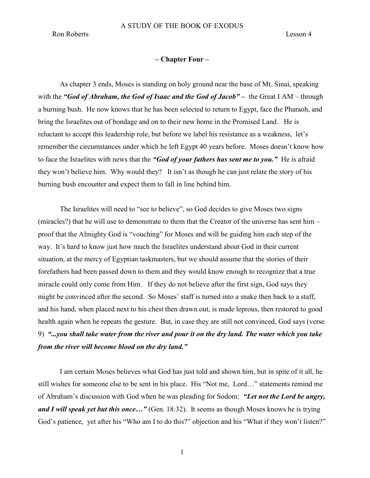# – Chapter Four –

As chapter 3 ends, Moses is standing on holy ground near the base of Mt. Sinai, speaking with the "God of Abraham, the God of Isaac and the God of Jacob" – the Great I AM – through a burning bush. He now knows that he has been selected to return to Egypt, face the Pharaoh, and bring the Israelites out of bondage and on to their new home in the Promised Land. He is reluctant to accept this leadership role, but before we label his resistance as a weakness, let's remember the circumstances under which he left Egypt 40 years before. Moses doesn't know how to face the Israelites with news that the "God of your fathers has sent me to you." He is afraid they won't believe him. Why would they? It isn't as though he can just relate the story of his burning bush encounter and expect them to fall in line behind him.

The Israelites will need to "see to believe", so God decides to give Moses two signs (miracles?) that he will use to demonstrate to them that the Creator of the universe has sent him – proof that the Almighty God is "vouching" for Moses and will be guiding him each step of the way. It's hard to know just how much the Israelites understand about God in their current situation, at the mercy of Egyptian taskmasters, but we should assume that the stories of their forefathers had been passed down to them and they would know enough to recognize that a true miracle could only come from Him. If they do not believe after the first sign, God says they might be convinced after the second. So Moses' staff is turned into a snake then back to a staff, and his hand, when placed next to his chest then drawn out, is made leprous, then restored to good health again when he repeats the gesture. But, in case they are still not convinced, God says (verse 9) "...you shall take water from the river and pour it on the dry land. The water which you take from the river will become blood on the dry land."

I am certain Moses believes what God has just told and shown him, but in spite of it all, he still wishes for someone else to be sent in his place. His "Not me, Lord…" statements remind me of Abraham's discussion with God when he was pleading for Sodom: "Let not the Lord be angry, and I will speak yet but this once..." (Gen. 18:32). It seems as though Moses knows he is trying God's patience, yet after his "Who am I to do this?" objection and his "What if they won't listen?"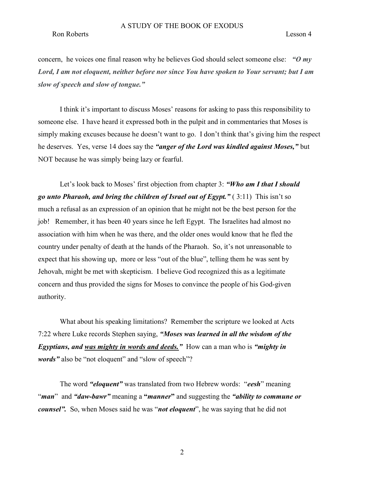concern, he voices one final reason why he believes God should select someone else: "O my Lord, I am not eloquent, neither before nor since You have spoken to Your servant; but I am slow of speech and slow of tongue."

I think it's important to discuss Moses' reasons for asking to pass this responsibility to someone else. I have heard it expressed both in the pulpit and in commentaries that Moses is simply making excuses because he doesn't want to go. I don't think that's giving him the respect he deserves. Yes, verse 14 does say the "anger of the Lord was kindled against Moses," but NOT because he was simply being lazy or fearful.

Let's look back to Moses' first objection from chapter 3: "Who am I that I should go unto Pharaoh, and bring the children of Israel out of Egypt."  $(3:11)$  This isn't so much a refusal as an expression of an opinion that he might not be the best person for the job! Remember, it has been 40 years since he left Egypt. The Israelites had almost no association with him when he was there, and the older ones would know that he fled the country under penalty of death at the hands of the Pharaoh. So, it's not unreasonable to expect that his showing up, more or less "out of the blue", telling them he was sent by Jehovah, might be met with skepticism. I believe God recognized this as a legitimate concern and thus provided the signs for Moses to convince the people of his God-given authority.

What about his speaking limitations? Remember the scripture we looked at Acts 7:22 where Luke records Stephen saying, "Moses was learned in all the wisdom of the Egyptians, and was mighty in words and deeds." How can a man who is "mighty in words" also be "not eloquent" and "slow of speech"?

The word "*eloquent*" was translated from two Hebrew words: "*eesh*" meaning "man" and "*daw-bawr*" meaning a "manner" and suggesting the "*ability to commune or* counsel". So, when Moses said he was "not eloquent", he was saying that he did not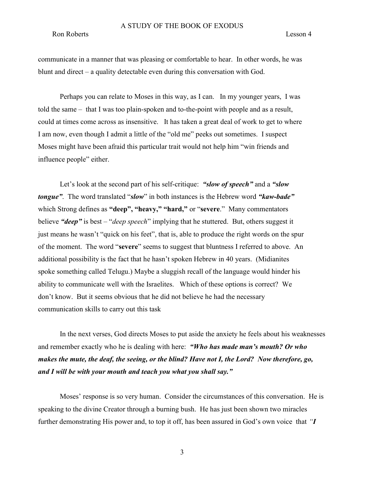communicate in a manner that was pleasing or comfortable to hear. In other words, he was blunt and direct – a quality detectable even during this conversation with God.

Perhaps you can relate to Moses in this way, as I can. In my younger years, I was told the same – that I was too plain-spoken and to-the-point with people and as a result, could at times come across as insensitive. It has taken a great deal of work to get to where I am now, even though I admit a little of the "old me" peeks out sometimes. I suspect Moses might have been afraid this particular trait would not help him "win friends and influence people" either.

Let's look at the second part of his self-critique: "slow of speech" and a "slow tongue". The word translated "slow" in both instances is the Hebrew word "kaw-bade" which Strong defines as "deep", "heavy," "hard," or "severe." Many commentators believe "*deep*" is best – "*deep speech*" implying that he stuttered. But, others suggest it just means he wasn't "quick on his feet", that is, able to produce the right words on the spur of the moment. The word "severe" seems to suggest that bluntness I referred to above. An additional possibility is the fact that he hasn't spoken Hebrew in 40 years. (Midianites spoke something called Telugu.) Maybe a sluggish recall of the language would hinder his ability to communicate well with the Israelites. Which of these options is correct? We don't know. But it seems obvious that he did not believe he had the necessary communication skills to carry out this task

In the next verses, God directs Moses to put aside the anxiety he feels about his weaknesses and remember exactly who he is dealing with here: "Who has made man's mouth? Or who makes the mute, the deaf, the seeing, or the blind? Have not I, the Lord? Now therefore, go, and I will be with your mouth and teach you what you shall say."

Moses' response is so very human. Consider the circumstances of this conversation. He is speaking to the divine Creator through a burning bush. He has just been shown two miracles further demonstrating His power and, to top it off, has been assured in God's own voice that "I

3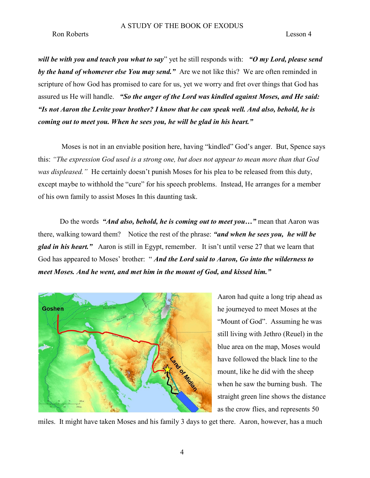will be with you and teach you what to say" yet he still responds with: "O my Lord, please send by the hand of whomever else You may send." Are we not like this? We are often reminded in scripture of how God has promised to care for us, yet we worry and fret over things that God has assured us He will handle. "So the anger of the Lord was kindled against Moses, and He said: "Is not Aaron the Levite your brother? I know that he can speak well. And also, behold, he is coming out to meet you. When he sees you, he will be glad in his heart."

 Moses is not in an enviable position here, having "kindled" God's anger. But, Spence says this: "The expression God used is a strong one, but does not appear to mean more than that God was displeased." He certainly doesn't punish Moses for his plea to be released from this duty, except maybe to withhold the "cure" for his speech problems. Instead, He arranges for a member of his own family to assist Moses In this daunting task.

Do the words "And also, behold, he is coming out to meet you..." mean that Aaron was there, walking toward them? Notice the rest of the phrase: "and when he sees you, he will be glad in his heart." Aaron is still in Egypt, remember. It isn't until verse 27 that we learn that God has appeared to Moses' brother: " And the Lord said to Aaron, Go into the wilderness to meet Moses. And he went, and met him in the mount of God, and kissed him."



Aaron had quite a long trip ahead as he journeyed to meet Moses at the "Mount of God". Assuming he was still living with Jethro (Reuel) in the blue area on the map, Moses would have followed the black line to the mount, like he did with the sheep when he saw the burning bush. The straight green line shows the distance as the crow flies, and represents 50

miles. It might have taken Moses and his family 3 days to get there. Aaron, however, has a much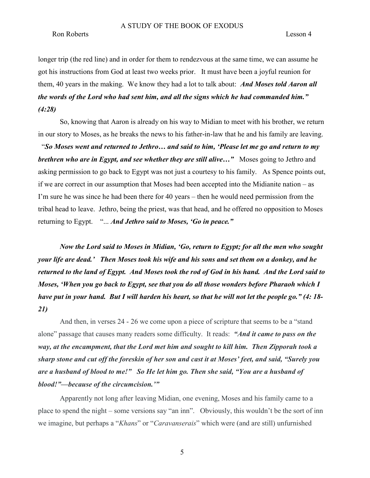longer trip (the red line) and in order for them to rendezvous at the same time, we can assume he got his instructions from God at least two weeks prior. It must have been a joyful reunion for them, 40 years in the making. We know they had a lot to talk about: *And Moses told Aaron all* the words of the Lord who had sent him, and all the signs which he had commanded him." (4:28)

So, knowing that Aaron is already on his way to Midian to meet with his brother, we return in our story to Moses, as he breaks the news to his father-in-law that he and his family are leaving.

 "So Moses went and returned to Jethro… and said to him, 'Please let me go and return to my brethren who are in Egypt, and see whether they are still alive..." Moses going to Jethro and asking permission to go back to Egypt was not just a courtesy to his family. As Spence points out, if we are correct in our assumption that Moses had been accepted into the Midianite nation – as I'm sure he was since he had been there for 40 years – then he would need permission from the tribal head to leave. Jethro, being the priest, was that head, and he offered no opposition to Moses returning to Egypt. "... And Jethro said to Moses, 'Go in peace."

Now the Lord said to Moses in Midian, 'Go, return to Egypt; for all the men who sought your life are dead.' Then Moses took his wife and his sons and set them on a donkey, and he returned to the land of Egypt. And Moses took the rod of God in his hand. And the Lord said to Moses, 'When you go back to Egypt, see that you do all those wonders before Pharaoh which I have put in your hand. But I will harden his heart, so that he will not let the people go." (4: 18-21)

And then, in verses 24 - 26 we come upon a piece of scripture that seems to be a "stand alone" passage that causes many readers some difficulty. It reads: "And it came to pass on the way, at the encampment, that the Lord met him and sought to kill him. Then Zipporah took a sharp stone and cut off the foreskin of her son and cast it at Moses' feet, and said, "Surely you are a husband of blood to me!" So He let him go. Then she said, "You are a husband of blood!"—because of the circumcision.'"

Apparently not long after leaving Midian, one evening, Moses and his family came to a place to spend the night – some versions say "an inn". Obviously, this wouldn't be the sort of inn we imagine, but perhaps a "Khans" or "Caravanserais" which were (and are still) unfurnished

5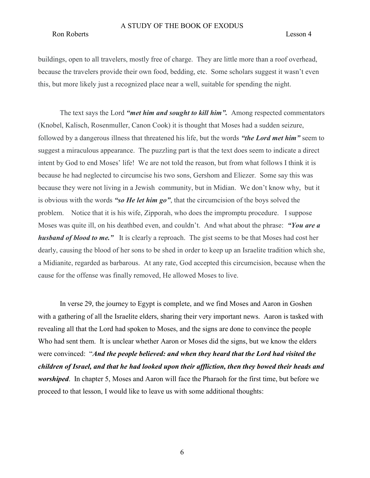buildings, open to all travelers, mostly free of charge. They are little more than a roof overhead, because the travelers provide their own food, bedding, etc. Some scholars suggest it wasn't even this, but more likely just a recognized place near a well, suitable for spending the night.

The text says the Lord "*met him and sought to kill him*". Among respected commentators (Knobel, Kalisch, Rosenmuller, Canon Cook) it is thought that Moses had a sudden seizure, followed by a dangerous illness that threatened his life, but the words "the Lord met him" seem to suggest a miraculous appearance. The puzzling part is that the text does seem to indicate a direct intent by God to end Moses' life! We are not told the reason, but from what follows I think it is because he had neglected to circumcise his two sons, Gershom and Eliezer. Some say this was because they were not living in a Jewish community, but in Midian. We don't know why, but it is obvious with the words "so He let him go", that the circumcision of the boys solved the problem. Notice that it is his wife, Zipporah, who does the impromptu procedure. I suppose Moses was quite ill, on his deathbed even, and couldn't. And what about the phrase: "You are a **husband of blood to me."** It is clearly a reproach. The gist seems to be that Moses had cost her dearly, causing the blood of her sons to be shed in order to keep up an Israelite tradition which she, a Midianite, regarded as barbarous. At any rate, God accepted this circumcision, because when the cause for the offense was finally removed, He allowed Moses to live.

In verse 29, the journey to Egypt is complete, and we find Moses and Aaron in Goshen with a gathering of all the Israelite elders, sharing their very important news. Aaron is tasked with revealing all that the Lord had spoken to Moses, and the signs are done to convince the people Who had sent them. It is unclear whether Aaron or Moses did the signs, but we know the elders were convinced: "And the people believed: and when they heard that the Lord had visited the children of Israel, and that he had looked upon their affliction, then they bowed their heads and *worshiped.* In chapter 5, Moses and Aaron will face the Pharaoh for the first time, but before we proceed to that lesson, I would like to leave us with some additional thoughts: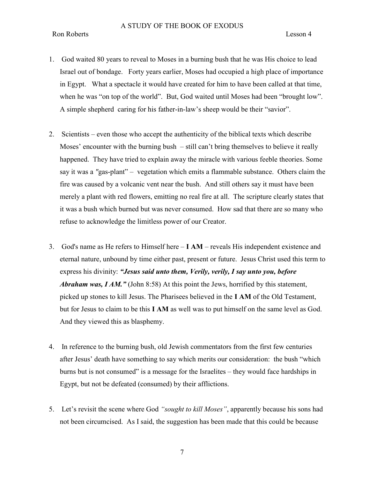- 1. God waited 80 years to reveal to Moses in a burning bush that he was His choice to lead Israel out of bondage. Forty years earlier, Moses had occupied a high place of importance in Egypt. What a spectacle it would have created for him to have been called at that time, when he was "on top of the world". But, God waited until Moses had been "brought low". A simple shepherd caring for his father-in-law's sheep would be their "savior".
- 2. Scientists even those who accept the authenticity of the biblical texts which describe Moses' encounter with the burning bush – still can't bring themselves to believe it really happened. They have tried to explain away the miracle with various feeble theories. Some say it was a "gas-plant" – vegetation which emits a flammable substance. Others claim the fire was caused by a volcanic vent near the bush. And still others say it must have been merely a plant with red flowers, emitting no real fire at all. The scripture clearly states that it was a bush which burned but was never consumed. How sad that there are so many who refuse to acknowledge the limitless power of our Creator.
- 3. God's name as He refers to Himself here  $I AM -$  reveals His independent existence and eternal nature, unbound by time either past, present or future. Jesus Christ used this term to express his divinity: "Jesus said unto them, Verily, verily, I say unto you, before Abraham was,  $IAM$ ." (John 8:58) At this point the Jews, horrified by this statement, picked up stones to kill Jesus. The Pharisees believed in the I AM of the Old Testament, but for Jesus to claim to be this I AM as well was to put himself on the same level as God. And they viewed this as blasphemy.
- 4. In reference to the burning bush, old Jewish commentators from the first few centuries after Jesus' death have something to say which merits our consideration: the bush "which burns but is not consumed" is a message for the Israelites – they would face hardships in Egypt, but not be defeated (consumed) by their afflictions.
- 5. Let's revisit the scene where God "sought to kill Moses", apparently because his sons had not been circumcised. As I said, the suggestion has been made that this could be because